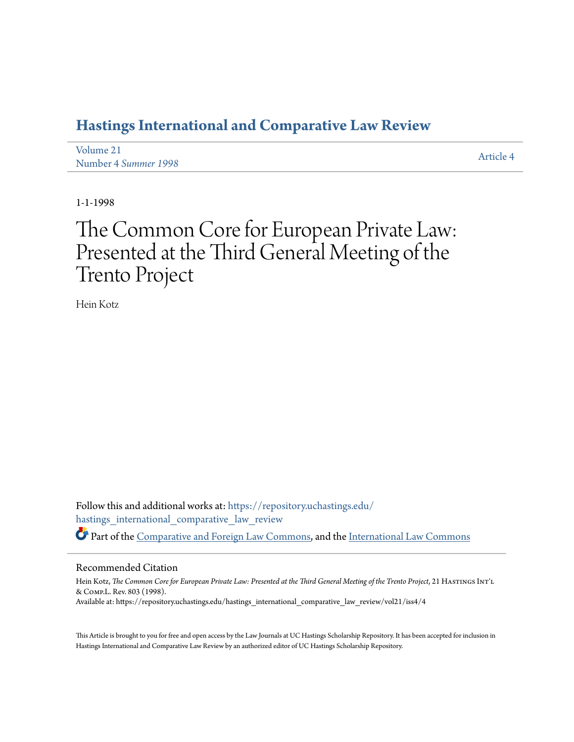## **[Hastings International and Comparative Law Review](https://repository.uchastings.edu/hastings_international_comparative_law_review?utm_source=repository.uchastings.edu%2Fhastings_international_comparative_law_review%2Fvol21%2Fiss4%2F4&utm_medium=PDF&utm_campaign=PDFCoverPages)**

| Volume 21            | Article 4 |
|----------------------|-----------|
| Number 4 Summer 1998 |           |

1-1-1998

# The Common Core for European Private Law: Presented at the Third General Meeting of the Trento Project

Hein Kotz

Follow this and additional works at: [https://repository.uchastings.edu/](https://repository.uchastings.edu/hastings_international_comparative_law_review?utm_source=repository.uchastings.edu%2Fhastings_international_comparative_law_review%2Fvol21%2Fiss4%2F4&utm_medium=PDF&utm_campaign=PDFCoverPages) [hastings\\_international\\_comparative\\_law\\_review](https://repository.uchastings.edu/hastings_international_comparative_law_review?utm_source=repository.uchastings.edu%2Fhastings_international_comparative_law_review%2Fvol21%2Fiss4%2F4&utm_medium=PDF&utm_campaign=PDFCoverPages) Part of the [Comparative and Foreign Law Commons](http://network.bepress.com/hgg/discipline/836?utm_source=repository.uchastings.edu%2Fhastings_international_comparative_law_review%2Fvol21%2Fiss4%2F4&utm_medium=PDF&utm_campaign=PDFCoverPages), and the [International Law Commons](http://network.bepress.com/hgg/discipline/609?utm_source=repository.uchastings.edu%2Fhastings_international_comparative_law_review%2Fvol21%2Fiss4%2F4&utm_medium=PDF&utm_campaign=PDFCoverPages)

#### Recommended Citation

Hein Kotz, *The Common Core for European Private Law: Presented at the Third General Meeting of the Trento Project*, 21 HASTINGS INT'L & Comp.L. Rev. 803 (1998). Available at: https://repository.uchastings.edu/hastings\_international\_comparative\_law\_review/vol21/iss4/4

This Article is brought to you for free and open access by the Law Journals at UC Hastings Scholarship Repository. It has been accepted for inclusion in Hastings International and Comparative Law Review by an authorized editor of UC Hastings Scholarship Repository.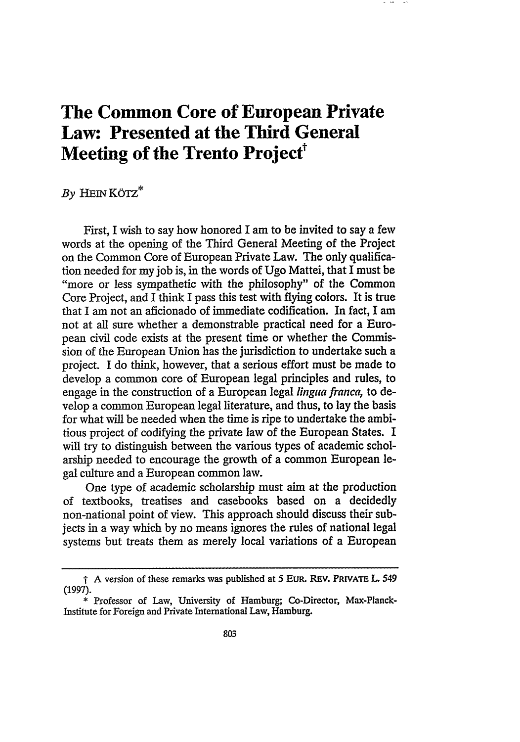## **The Common Core of European Private** Law: Presented at the Third General **Meeting of the Trento Project**<sup>†</sup>

### $By$  **HEIN KÖTZ**\*

First, I wish to say how honored I am to be invited to say a few words at the opening of the Third General Meeting of the Project on the Common Core of European Private Law. The only qualification needed for my job is, in the words of Ugo Mattei, that I must be "more or less sympathetic with the philosophy" of the Common Core Project, and I think I pass this test with flying colors. It is true that I am not an aficionado of immediate codification. In fact, I am not at all sure whether a demonstrable practical need for a European civil code exists at the present time or whether the Commission of the European Union has the jurisdiction to undertake such a project. I do think, however, that a serious effort must be made to develop a common core of European legal principles and rules, to engage in the construction of a European legal *lingua franca,* to develop a common European legal literature, and thus, to lay the basis for what will be needed when the time is ripe to undertake the ambitious project of codifying the private law of the European States. I will try to distinguish between the various types of academic scholarship needed to encourage the growth of a common European legal culture and a European common law.

One type of academic scholarship must aim at the production of textbooks, treatises and casebooks based on a decidedly non-national point of view. This approach should discuss their subjects in a way which by no means ignores the rules of national legal systems but treats them as merely local variations of a European

<sup>-</sup> A version of these remarks was published at 5 **EUR. REV. PRIVATE** L 549 (1997).

**<sup>\*</sup>** Professor of Law, University of Hamburg; Co-Director, Max-Planck-Institute for Foreign and Private International Law, Hamburg.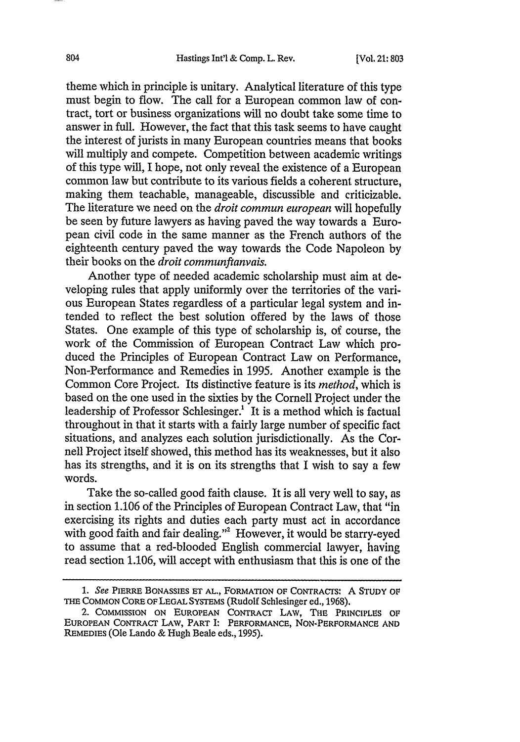theme which in principle is unitary. Analytical literature of this type must begin to flow. The call for a European common law of contract, tort or business organizations will no doubt take some time to answer in full. However, the fact that this task seems to have caught the interest of jurists in many European countries means that books will multiply and compete. Competition between academic writings of this type will, I hope, not only reveal the existence of a European common law but contribute to its various fields a coherent structure, making them teachable, manageable, discussible and criticizable. The literature we need on the *droit commun european* will hopefully be seen by future lawyers as having paved the way towards a European civil code in the same manner as the French authors of the eighteenth century paved the way towards the Code Napoleon by their books on the *droit communflanvais.*

Another type of needed academic scholarship must aim at developing rules that apply uniformly over the territories of the various European States regardless of a particular legal system and intended to reflect the best solution offered by the laws of those States. One example of this type of scholarship is, of course, the work of the Commission of European Contract Law which produced the Principles of European Contract Law on Performance, Non-Performance and Remedies in 1995. Another example is the Common Core Project. Its distinctive feature is its *method,* which is based on the one used in the sixties by the Cornell Project under the leadership of Professor Schlesinger.<sup>1</sup> It is a method which is factual throughout in that it starts with a fairly large number of specific fact situations, and analyzes each solution jurisdictionally. As the Cornell Project itself showed, this method has its weaknesses, but it also has its strengths, and it is on its strengths that I wish to say a few words.

Take the so-called good faith clause. It is all very well to say, as in section 1.106 of the Principles of European Contract Law, that "in exercising its rights and duties each party must act in accordance with good faith and fair dealing."<sup>2</sup> However, it would be starry-eyed to assume that a red-blooded English commercial lawyer, having read section 1.106, will accept with enthusiasm that this is one of the

*<sup>1.</sup> See* PIERRE BONASSIES ET AL,., FORMATION OF CONTRACTS: A **STUDY** OF THE COMMON CORE OF LEGAL SYSTEMS (Rudolf Schlesinger ed., 1968).

<sup>2.</sup> COMMISSION ON EUROPEAN CONTRACT LAW, THE PRINCIPLES OF EUROPEAN CONTRACT LAW, PART I: PERFORMANCE, NON-PERFORMANCE AND REMEDIES (Ole Lando & Hugh Beale eds., 1995).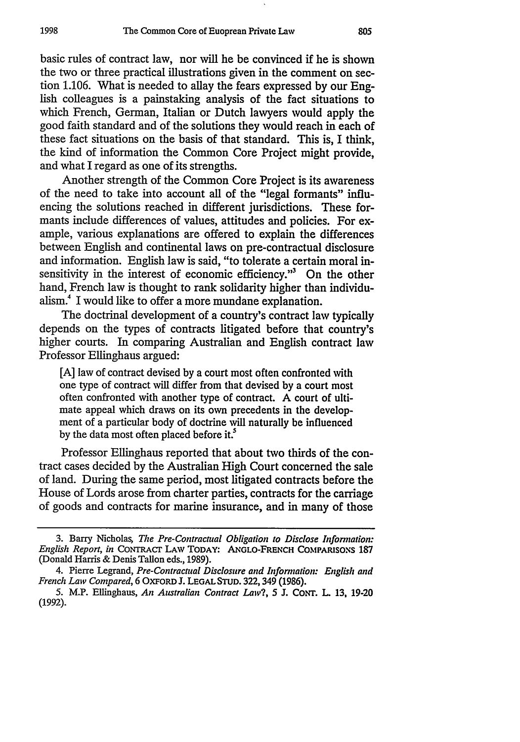basic rules of contract law, nor will he be convinced if he is shown the two or three practical illustrations given in the comment on section 1.106. What is needed to allay the fears expressed by our English colleagues is a painstaking analysis of the fact situations to which French, German, Italian or Dutch lawyers would apply the good faith standard and of the solutions they would reach in each of these fact situations on the basis of that standard. This is, I think, the kind of information the Common Core Project might provide, and what I regard as one of its strengths.

Another strength of the Common Core Project is its awareness of the need to take into account all of the "legal formants" influencing the solutions reached in different jurisdictions. These formants include differences of values, attitudes and policies. For example, various explanations are offered to explain the differences between English and continental laws on pre-contractual disclosure and information. English law is said, "to tolerate a certain moral insensitivity in the interest of economic efficiency."<sup>3</sup> On the other hand, French law is thought to rank solidarity higher than individualism.<sup>4</sup> I would like to offer a more mundane explanation.

The doctrinal development of a country's contract law typically depends on the types of contracts litigated before that country's higher courts. In comparing Australian and English contract law Professor Ellinghaus argued:

[A] law of contract devised by a court most often confronted with one type of contract will differ from that devised by a court most often confronted with another type of contract. A court of ultimate appeal which draws on its own precedents in the development of a particular body of doctrine will naturally be influenced by the data most often placed before **it.5**

Professor Ellinghaus reported that about two thirds of the contract cases decided by the Australian High Court concerned the sale of land. During the same period, most litigated contracts before the House of Lords arose from charter parties, contracts for the carriage of goods and contracts for marine insurance, and in many of those

<sup>3.</sup> Barry Nicholas, *The Pre-Contractual Obligation to Disclose Information: English Report, in* CONTRACT LAW **TODAY: ANGLO-FRENCH COMPARISONS 187** (Donald Harris & Denis Tallon eds., 1989).

<sup>4.</sup> Pierre Legrand, *Pre-Contractual Disclosure and Infornation: English and French Law Compared,* 6 OXFORD J. **LEGAL STUD.** 322,349 (1986).

<sup>5.</sup> M.P. Ellinghaus, *An Australian Contract Law?, 5* J. CONT. L **13,** 19-20 (1992).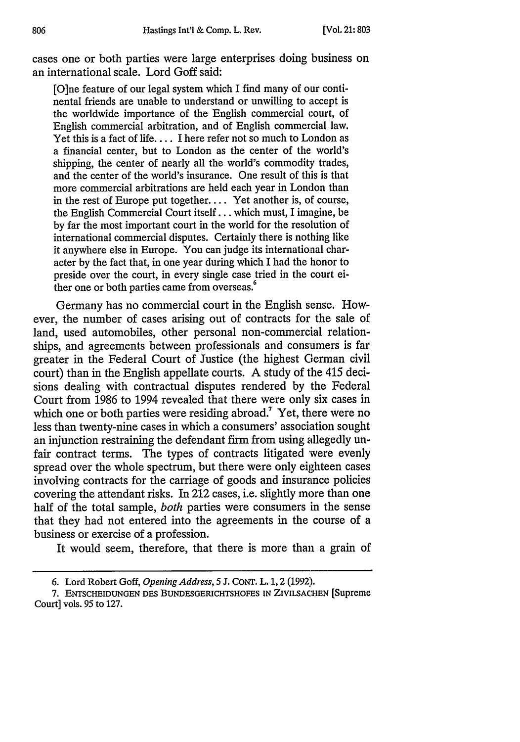cases one or both parties were large enterprises doing business on an international scale. Lord Goff said:

[O]ne feature of our legal system which I find many of our continental friends are unable to understand or unwilling to accept is the worldwide importance of the English commercial court, of English commercial arbitration, and of English commercial law. Yet this is a fact of life.... I here refer not so much to London as a financial center, but to London as the center of the world's shipping, the center of nearly all the world's commodity trades, and the center of the world's insurance. One result of this is that more commercial arbitrations are held each year in London than in the rest of Europe put together.... Yet another is, of course, the English Commercial Court itself... which must, I imagine, be by far the most important court in the world for the resolution of international commercial disputes. Certainly there is nothing like it anywhere else in Europe. You can judge its international character by the fact that, in one year during which I had the honor to preside over the court, in every single case tried in the court either one or both parties came from overseas.<sup>6</sup>

Germany has no commercial court in the English sense. However, the number of cases arising out of contracts for the sale of land, used automobiles, other personal non-commercial relationships, and agreements between professionals and consumers is far greater in the Federal Court of Justice (the highest German civil court) than in the English appellate courts. A study of the 415 decisions dealing with contractual disputes rendered by the Federal Court from 1986 to 1994 revealed that there were only six cases in which one or both parties were residing abroad.<sup>7</sup> Yet, there were no less than twenty-nine cases in which a consumers' association sought an injunction restraining the defendant firm from using allegedly unfair contract terms. The types of contracts litigated were evenly spread over the whole spectrum, but there were only eighteen cases involving contracts for the carriage of goods and insurance policies covering the attendant risks. In 212 cases, i.e. slightly more than one half of the total sample, *both* parties were consumers in the sense that they had not entered into the agreements in the course of a business or exercise of a profession.

It would seem, therefore, that there is more than a grain of

<sup>6.</sup> Lord Robert Goff, *Opening Address, 5* J. CoNT. L. 1, 2 (1992).

**<sup>7.</sup> ENTSCHEIDUNGEN DES BUNDESGERICHTSHOFES IN ZIVILSACHEN** [Supreme Court] vols. 95 to 127.